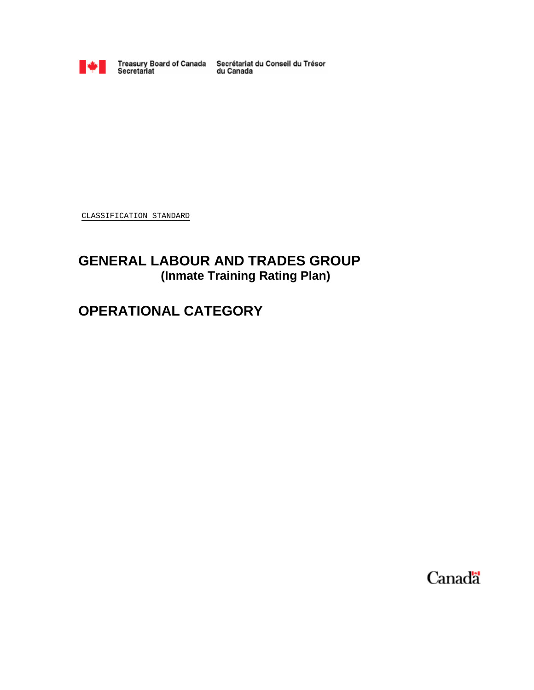

Treasury Board of Canada Secrétariat du Conseil du Trésor<br>Secretariat du Canada

CLASSIFICATION STANDARD

## **GENERAL LABOUR AND TRADES GROUP (Inmate Training Rating Plan)**

# **OPERATIONAL CATEGORY**

Canada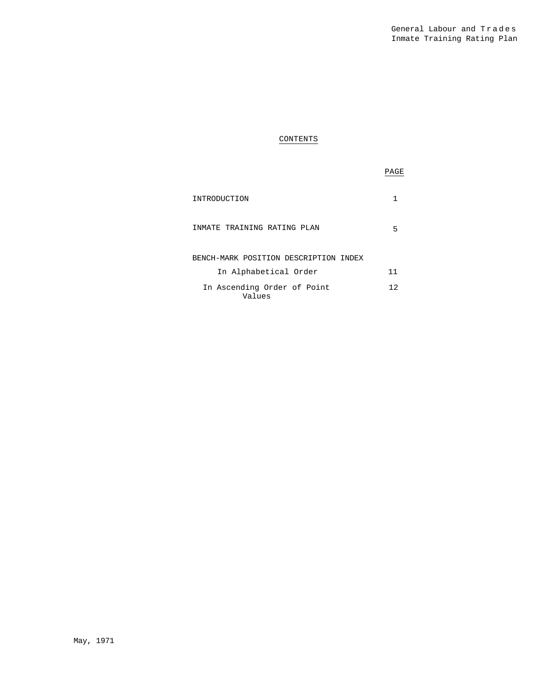### CONTENTS

### PAGE

| INTRODUCTION                          |    |
|---------------------------------------|----|
| INMATE TRAINING RATING PLAN           |    |
| BENCH-MARK POSITION DESCRIPTION INDEX |    |
| In Alphabetical Order                 | 11 |
| In Ascending Order of Point<br>Values | 12 |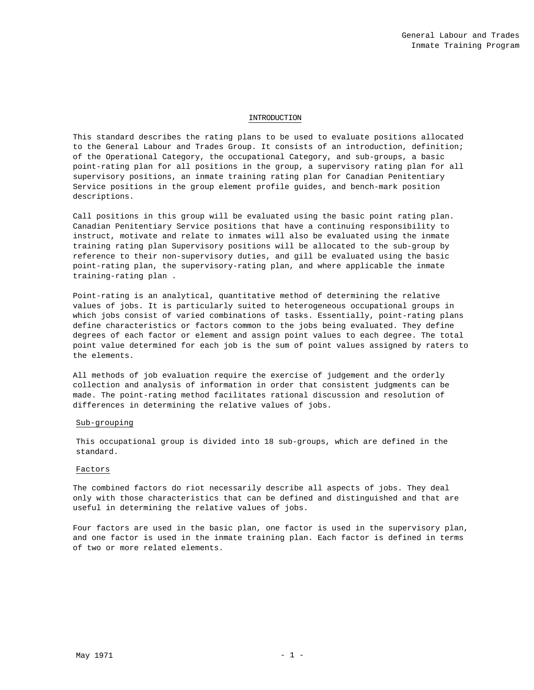### INTRODUCTION

This standard describes the rating plans to be used to evaluate positions allocated to the General Labour and Trades Group. It consists of an introduction, definition; of the Operational Category, the occupational Category, and sub-groups, a basic point-rating plan for all positions in the group, a supervisory rating plan for all supervisory positions, an inmate training rating plan for Canadian Penitentiary Service positions in the group element profile guides, and bench-mark position descriptions.

Call positions in this group will be evaluated using the basic point rating plan. Canadian Penitentiary Service positions that have a continuing responsibility to instruct, motivate and relate to inmates will also be evaluated using the inmate training rating plan Supervisory positions will be allocated to the sub-group by reference to their non-supervisory duties, and gill be evaluated using the basic point-rating plan, the supervisory-rating plan, and where applicable the inmate training-rating plan .

Point-rating is an analytical, quantitative method of determining the relative values of jobs. It is particularly suited to heterogeneous occupational groups in which jobs consist of varied combinations of tasks. Essentially, point-rating plans define characteristics or factors common to the jobs being evaluated. They define degrees of each factor or element and assign point values to each degree. The total point value determined for each job is the sum of point values assigned by raters to the elements.

All methods of job evaluation require the exercise of judgement and the orderly collection and analysis of information in order that consistent judgments can be made. The point-rating method facilitates rational discussion and resolution of differences in determining the relative values of jobs.

### Sub-grouping

This occupational group is divided into 18 sub-groups, which are defined in the standard.

### Factors

The combined factors do riot necessarily describe all aspects of jobs. They deal only with those characteristics that can be defined and distinguished and that are useful in determining the relative values of jobs.

Four factors are used in the basic plan, one factor is used in the supervisory plan, and one factor is used in the inmate training plan. Each factor is defined in terms of two or more related elements.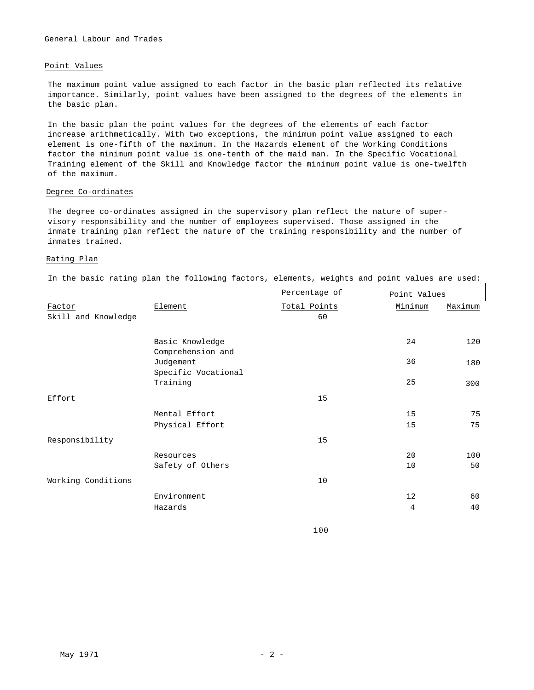### General Labour and Trades

### Point Values

The maximum point value assigned to each factor in the basic plan reflected its relative importance. Similarly, point values have been assigned to the degrees of the elements in the basic plan.

In the basic plan the point values for the degrees of the elements of each factor increase arithmetically. With two exceptions, the minimum point value assigned to each element is one-fifth of the maximum. In the Hazards element of the Working Conditions factor the minimum point value is one-tenth of the maid man. In the Specific Vocational Training element of the Skill and Knowledge factor the minimum point value is one-twelfth of the maximum.

### Degree Co-ordinates

The degree co-ordinates assigned in the supervisory plan reflect the nature of supervisory responsibility and the number of employees supervised. Those assigned in the inmate training plan reflect the nature of the training responsibility and the number of inmates trained.

### Rating Plan

In the basic rating plan the following factors, elements, weights and point values are used:

|                               |                                      | Percentage of      | Point Values |         |
|-------------------------------|--------------------------------------|--------------------|--------------|---------|
| Factor<br>Skill and Knowledge | Element                              | Total Points<br>60 | Minimum      | Maximum |
|                               | Basic Knowledge<br>Comprehension and |                    | 24           | 120     |
|                               | Judgement<br>Specific Vocational     |                    | 36           | 180     |
|                               | Training                             |                    | 25           | 300     |
| Effort                        |                                      | 15                 |              |         |
|                               | Mental Effort                        |                    | 15           | 75      |
|                               | Physical Effort                      |                    | 15           | 75      |
| Responsibility                |                                      | 15                 |              |         |
|                               | Resources                            |                    | 20           | 100     |
|                               | Safety of Others                     |                    | 10           | 50      |
| Working Conditions            |                                      | 10                 |              |         |
|                               | Environment                          |                    | 12           | 60      |
|                               | Hazards                              |                    | 4            | 40      |
|                               |                                      |                    |              |         |

100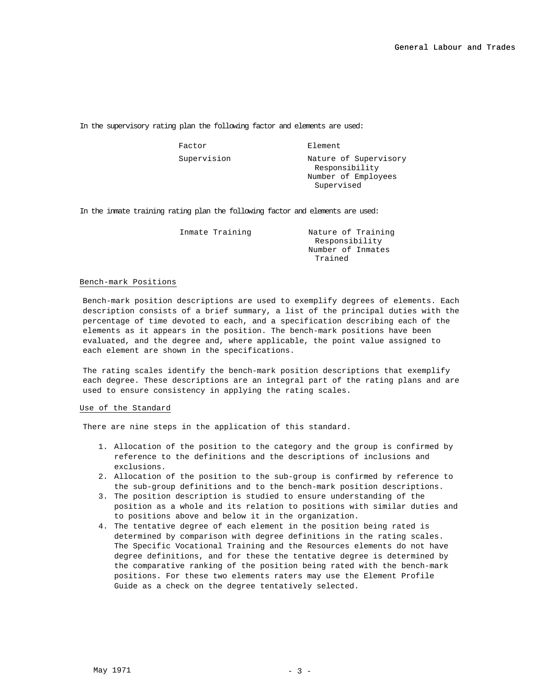In the supervisory rating plan the following factor and elements are used:

Factor **Element** 

Supervision Mature of Supervisory Responsibility Number of Employees Supervised

In the inmate training rating plan the following factor and elements are used:

Inmate Training **Nature of Training** Responsibility Number of Inmates Trained

### Bench-mark Positions

Bench-mark position descriptions are used to exemplify degrees of elements. Each description consists of a brief summary, a list of the principal duties with the percentage of time devoted to each, and a specification describing each of the elements as it appears in the position. The bench-mark positions have been evaluated, and the degree and, where applicable, the point value assigned to each element are shown in the specifications.

The rating scales identify the bench-mark position descriptions that exemplify each degree. These descriptions are an integral part of the rating plans and are used to ensure consistency in applying the rating scales.

### Use of the Standard

There are nine steps in the application of this standard.

- 1. Allocation of the position to the category and the group is confirmed by reference to the definitions and the descriptions of inclusions and exclusions.
- 2. Allocation of the position to the sub-group is confirmed by reference to the sub-group definitions and to the bench-mark position descriptions.
- 3. The position description is studied to ensure understanding of the position as a whole and its relation to positions with similar duties and to positions above and below it in the organization.
- 4. The tentative degree of each element in the position being rated is determined by comparison with degree definitions in the rating scales. The Specific Vocational Training and the Resources elements do not have degree definitions, and for these the tentative degree is determined by the comparative ranking of the position being rated with the bench-mark positions. For these two elements raters may use the Element Profile Guide as a check on the degree tentatively selected.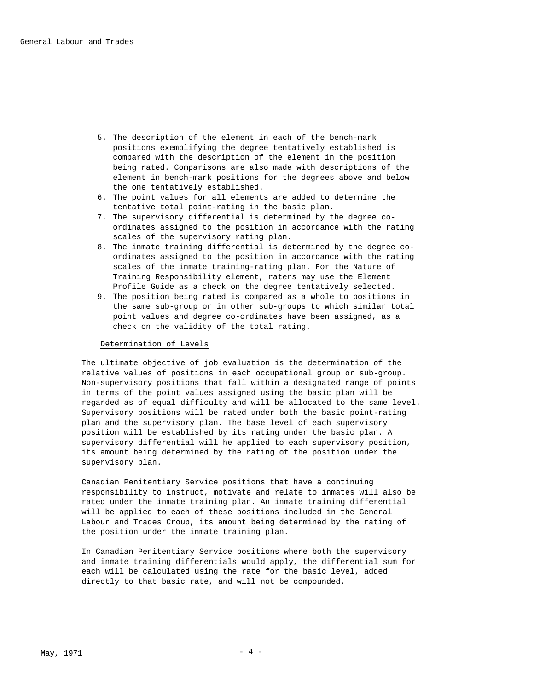- 5. The description of the element in each of the bench-mark positions exemplifying the degree tentatively established is compared with the description of the element in the position being rated. Comparisons are also made with descriptions of the element in bench-mark positions for the degrees above and below the one tentatively established.
- 6. The point values for all elements are added to determine the tentative total point-rating in the basic plan.
- 7. The supervisory differential is determined by the degree coordinates assigned to the position in accordance with the rating scales of the supervisory rating plan.
- 8. The inmate training differential is determined by the degree coordinates assigned to the position in accordance with the rating scales of the inmate training-rating plan. For the Nature of Training Responsibility element, raters may use the Element Profile Guide as a check on the degree tentatively selected.
- 9. The position being rated is compared as a whole to positions in the same sub-group or in other sub-groups to which similar total point values and degree co-ordinates have been assigned, as a check on the validity of the total rating.

### Determination of Levels

The ultimate objective of job evaluation is the determination of the relative values of positions in each occupational group or sub-group. Non-supervisory positions that fall within a designated range of points in terms of the point values assigned using the basic plan will be regarded as of equal difficulty and will be allocated to the same level. Supervisory positions will be rated under both the basic point-rating plan and the supervisory plan. The base level of each supervisory position will be established by its rating under the basic plan. A supervisory differential will he applied to each supervisory position, its amount being determined by the rating of the position under the supervisory plan.

Canadian Penitentiary Service positions that have a continuing responsibility to instruct, motivate and relate to inmates will also be rated under the inmate training plan. An inmate training differential will be applied to each of these positions included in the General Labour and Trades Croup, its amount being determined by the rating of the position under the inmate training plan.

In Canadian Penitentiary Service positions where both the supervisory and inmate training differentials would apply, the differential sum for each will be calculated using the rate for the basic level, added directly to that basic rate, and will not be compounded.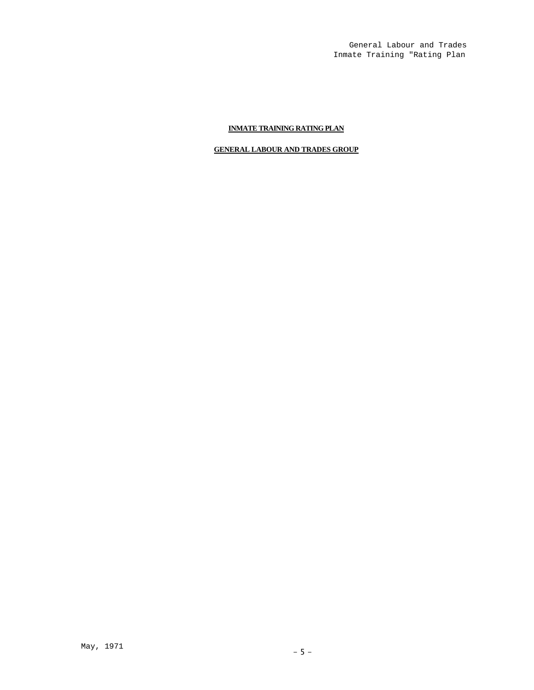General Labour and Trades Inmate Training "Rating Plan

### **INMATE TRAINING RATING PLAN**

### **GENERAL LABOUR AND TRADES GROUP**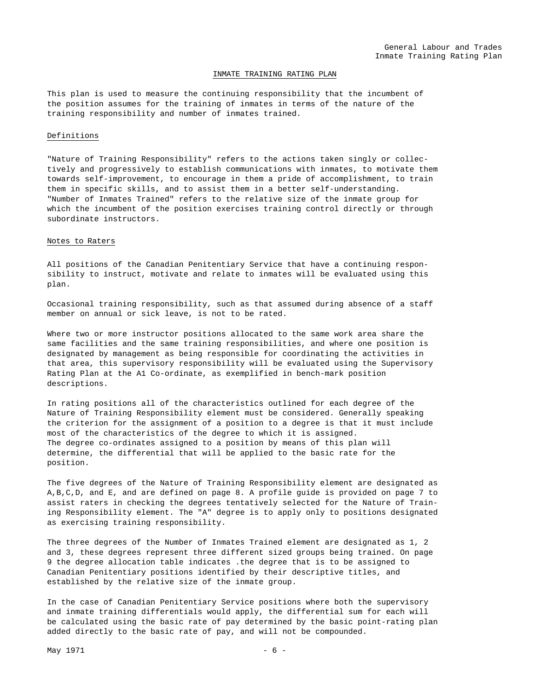### INMATE TRAINING RATING PLAN

This plan is used to measure the continuing responsibility that the incumbent of the position assumes for the training of inmates in terms of the nature of the training responsibility and number of inmates trained.

### Definitions

"Nature of Training Responsibility" refers to the actions taken singly or collectively and progressively to establish communications with inmates, to motivate them towards self-improvement, to encourage in them a pride of accomplishment, to train them in specific skills, and to assist them in a better self-understanding. "Number of Inmates Trained" refers to the relative size of the inmate group for which the incumbent of the position exercises training control directly or through subordinate instructors.

### Notes to Raters

All positions of the Canadian Penitentiary Service that have a continuing responsibility to instruct, motivate and relate to inmates will be evaluated using this plan.

Occasional training responsibility, such as that assumed during absence of a staff member on annual or sick leave, is not to be rated.

Where two or more instructor positions allocated to the same work area share the same facilities and the same training responsibilities, and where one position is designated by management as being responsible for coordinating the activities in that area, this supervisory responsibility will be evaluated using the Supervisory Rating Plan at the A1 Co-ordinate, as exemplified in bench-mark position descriptions.

In rating positions all of the characteristics outlined for each degree of the Nature of Training Responsibility element must be considered. Generally speaking the criterion for the assignment of a position to a degree is that it must include most of the characteristics of the degree to which it is assigned. The degree co-ordinates assigned to a position by means of this plan will determine, the differential that will be applied to the basic rate for the position.

The five degrees of the Nature of Training Responsibility element are designated as A,B,C,D, and E, and are defined on page 8. A profile guide is provided on page 7 to assist raters in checking the degrees tentatively selected for the Nature of Training Responsibility element. The "A" degree is to apply only to positions designated as exercising training responsibility.

The three degrees of the Number of Inmates Trained element are designated as 1, 2 and 3, these degrees represent three different sized groups being trained. On page 9 the degree allocation table indicates .the degree that is to be assigned to Canadian Penitentiary positions identified by their descriptive titles, and established by the relative size of the inmate group.

In the case of Canadian Penitentiary Service positions where both the supervisory and inmate training differentials would apply, the differential sum for each will be calculated using the basic rate of pay determined by the basic point-rating plan added directly to the basic rate of pay, and will not be compounded.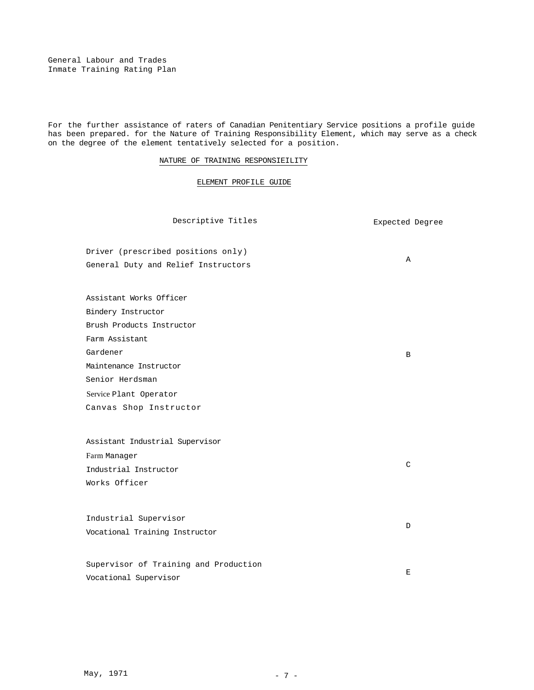General Labour and Trades Inmate Training Rating Plan

For the further assistance of raters of Canadian Penitentiary Service positions a profile guide has been prepared. for the Nature of Training Responsibility Element, which may serve as a check on the degree of the element tentatively selected for a position.

### NATURE OF TRAINING RESPONSIEILITY

### ELEMENT PROFILE GUIDE

Descriptive Titles **Expected** Degree

A

B

C

 $\mathbb D$ 

Driver (prescribed positions only) General Duty and Relief Instructors

Assistant Works Officer

Bindery Instructor

Brush Products Instructor

Farm Assistant

Gardener

Senior Herdsman

Service Plant Operator

Maintenance Instructor

Canvas Shop Instructor

Assistant Industrial Supervisor Farm Manager Industrial Instructor Works Officer

Industrial Supervisor Vocational Training Instructor

Supervisor of Training and Production Vocational Supervisor  $\mathbf E$ 

May, 1971 - 7 -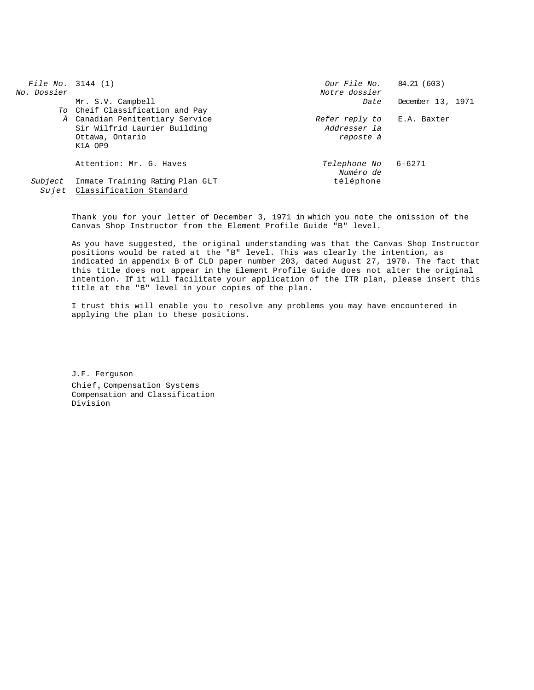| File No. $3144(1)$<br><i>No. Dossier</i> |                                                                                               | Our File No. 84.21 (603)<br>Notre dossier                      |                   |
|------------------------------------------|-----------------------------------------------------------------------------------------------|----------------------------------------------------------------|-------------------|
|                                          | Mr. S.V. Campbell<br>To Cheif Classification and Pay                                          | Date                                                           | December 13, 1971 |
|                                          | À Canadian Penitentiary Service<br>Sir Wilfrid Laurier Building<br>Ottawa, Ontario<br>K1A OP9 | Refer reply to E.A. Baxter<br><i>Addresser la</i><br>reposte à |                   |
|                                          | Attention: Mr. G. Haves<br>Subject Inmate Training Rating Plan GLT                            | Telephone No 6-6271<br>Numéro de<br>téléphone                  |                   |
|                                          | Sujet Classification Standard                                                                 |                                                                |                   |

Thank you for your letter of December 3, 1971 in which you note the omission of the Canvas Shop Instructor from the Element Profile Guide "B" level.

As you have suggested, the original understanding was that the Canvas Shop Instructor positions would be rated at the "B" level. This was clearly the intention, as indicated in appendix B of CLD paper number 203, dated August 27, 1970. The fact that this title does not appear in the Element Profile Guide does not alter the original intention. If it will facilitate your application of the ITR plan, please insert this title at the "B" level in your copies of the plan.

I trust this will enable you to resolve any problems you may have encountered in applying the plan to these positions.

J.F. Ferguson Chief, Compensation Systems Compensation and Classification Division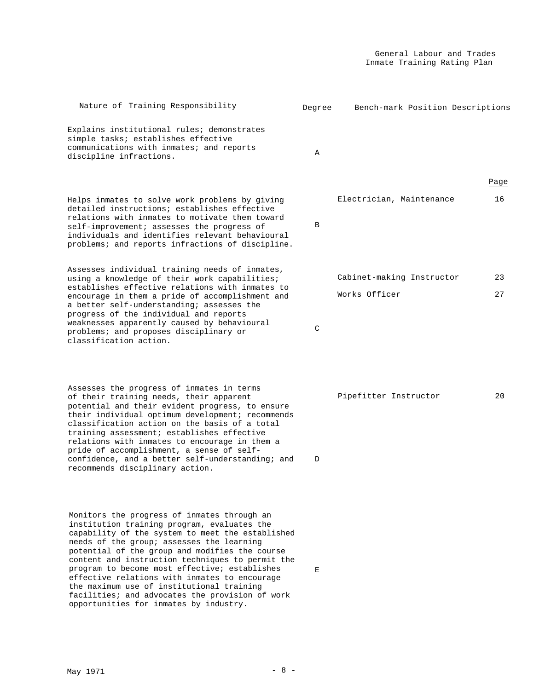| Nature of Training Responsibility                                                                                                                                                                                                                                                                                                                                                                                                                                               | Degree | Bench-mark Position Descriptions |      |
|---------------------------------------------------------------------------------------------------------------------------------------------------------------------------------------------------------------------------------------------------------------------------------------------------------------------------------------------------------------------------------------------------------------------------------------------------------------------------------|--------|----------------------------------|------|
| Explains institutional rules; demonstrates<br>simple tasks; establishes effective<br>communications with inmates; and reports<br>discipline infractions.                                                                                                                                                                                                                                                                                                                        | Α      |                                  |      |
|                                                                                                                                                                                                                                                                                                                                                                                                                                                                                 |        |                                  | Page |
| Helps inmates to solve work problems by giving<br>detailed instructions; establishes effective<br>relations with inmates to motivate them toward<br>self-improvement; assesses the progress of<br>individuals and identifies relevant behavioural<br>problems; and reports infractions of discipline.                                                                                                                                                                           | B      | Electrician, Maintenance         | 16   |
| Assesses individual training needs of inmates,<br>using a knowledge of their work capabilities;                                                                                                                                                                                                                                                                                                                                                                                 |        | Cabinet-making Instructor        | 23   |
| establishes effective relations with inmates to                                                                                                                                                                                                                                                                                                                                                                                                                                 |        | Works Officer                    | 27   |
| encourage in them a pride of accomplishment and<br>a better self-understanding; assesses the<br>progress of the individual and reports<br>weaknesses apparently caused by behavioural<br>problems; and proposes disciplinary or<br>classification action.                                                                                                                                                                                                                       | C      |                                  |      |
| Assesses the progress of inmates in terms<br>of their training needs, their apparent<br>potential and their evident progress, to ensure<br>their individual optimum development; recommends<br>classification action on the basis of a total<br>training assessment; establishes effective<br>relations with inmates to encourage in them a<br>pride of accomplishment, a sense of self-<br>confidence, and a better self-understanding; and<br>recommends disciplinary action. | D      | Pipefitter Instructor            | 20   |
| Monitors the progress of inmates through an<br>institution training program, evaluates the<br>capability of the system to meet the established<br>needs of the group; assesses the learning<br>potential of the group and modifies the course<br>content and instruction techniques to permit the<br>program to become most effective; establishes<br>effective relations with inmates to encourage<br>the maximum use of institutional training                                | Ε      |                                  |      |

facilities; and advocates the provision of work

opportunities for inmates by industry.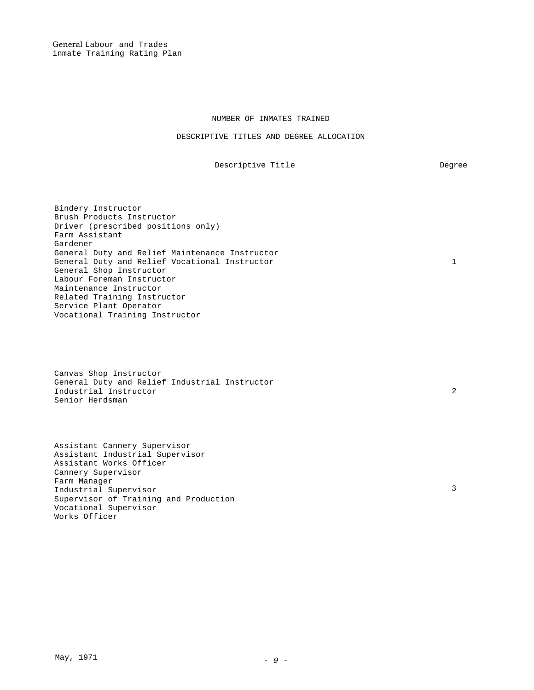General Labour and Trades inmate Training Rating Plan

### NUMBER OF INMATES TRAINED

### DESCRIPTIVE TITLES AND DEGREE ALLOCATION

Descriptive Title **Degree** 

1

Bindery Instructor Brush Products Instructor Driver (prescribed positions only) Farm Assistant Gardener General Duty and Relief Maintenance Instructor General Duty and Relief Vocational Instructor General Shop Instructor Labour Foreman Instructor Maintenance Instructor Related Training Instructor Service Plant Operator Vocational Training Instructor

Canvas Shop Instructor General Duty and Relief Industrial Instructor Industrial Instructor Senior Herdsman

Assistant Cannery Supervisor Assistant Industrial Supervisor Assistant Works Officer Cannery Supervisor Farm Manager Industrial Supervisor Supervisor of Training and Production Vocational Supervisor Works Officer

2

3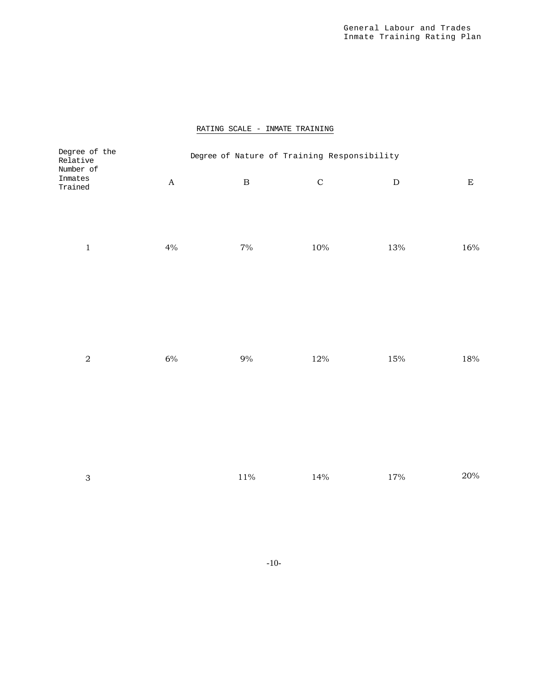### RATING SCALE - INMATE TRAINING

| Degree of the<br>Relative       |                           | Degree of Nature of Training Responsibility |             |           |           |
|---------------------------------|---------------------------|---------------------------------------------|-------------|-----------|-----------|
| Number of<br>Inmates<br>Trained | $\boldsymbol{\mathsf{A}}$ | $\, {\bf B}$                                | $\mathbf C$ | ${\bf D}$ | ${\bf E}$ |
| $\,1\,$                         | $4\%$                     | $7\%$                                       | $10\%$      | $13\%$    | $16\%$    |
| $\,2$                           | $6\%$                     | $9\%$                                       | $12\%$      | $15\%$    | $18\%$    |
| $\ensuremath{\mathsf{3}}$       |                           | $11\%$                                      | 14%         | $17\%$    | $20\%$    |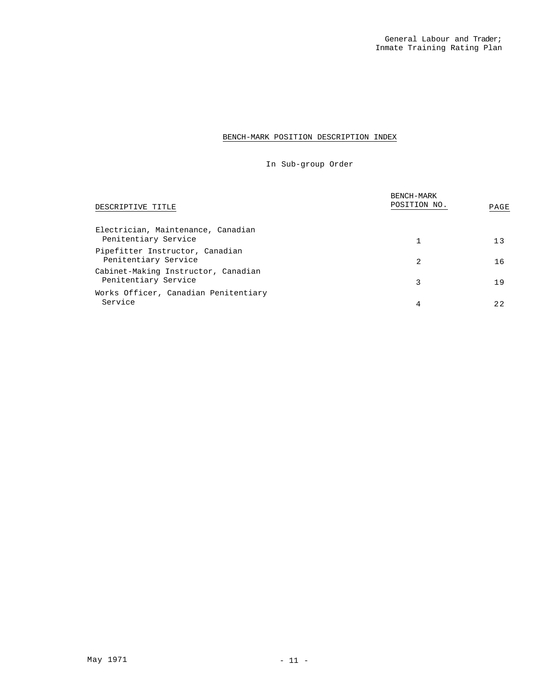### BENCH-MARK POSITION DESCRIPTION INDEX

In Sub-group Order

| DESCRIPTIVE TITLE                                           | BENCH-MARK<br>POSITION NO. | PAGE |
|-------------------------------------------------------------|----------------------------|------|
| Electrician, Maintenance, Canadian<br>Penitentiary Service  |                            | 13   |
| Pipefitter Instructor, Canadian<br>Penitentiary Service     | 2                          | 16   |
| Cabinet-Making Instructor, Canadian<br>Penitentiary Service | 3                          | 19   |
| Works Officer, Canadian Penitentiary<br>Service             | 4                          | 2.2  |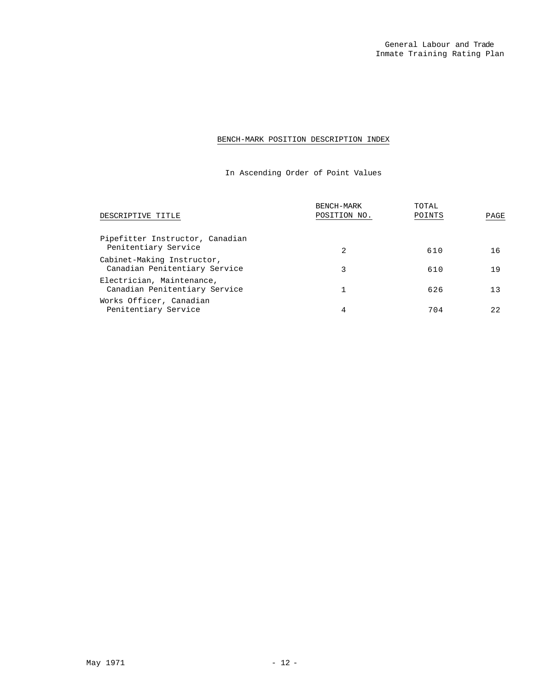### BENCH-MARK POSITION DESCRIPTION INDEX

In Ascending Order of Point Values

| DESCRIPTIVE TITLE                                           | BENCH-MARK<br>POSITION NO. | TOTAL<br>POINTS | PAGE |
|-------------------------------------------------------------|----------------------------|-----------------|------|
| Pipefitter Instructor, Canadian<br>Penitentiary Service     | 2                          | 610             | 16   |
| Cabinet-Making Instructor,<br>Canadian Penitentiary Service | 3                          | 610             | 19   |
| Electrician, Maintenance,<br>Canadian Penitentiary Service  |                            | 626             | 13   |
| Works Officer, Canadian<br>Penitentiary Service             | 4                          | 704             | 22   |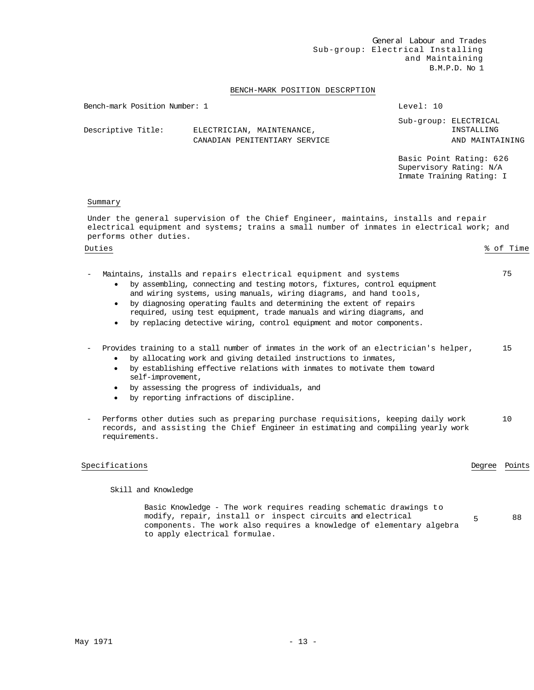General Labour and Trades Sub-group: Electrical Installing and Maintaining B.M.P.D. No 1

### BENCH-MARK POSITION DESCRPTION

| Bench-mark Position Number: 1 |                                                            | Level: 10 |                                                        |
|-------------------------------|------------------------------------------------------------|-----------|--------------------------------------------------------|
| Descriptive Title:            | ELECTRICIAN, MAINTENANCE,<br>CANADIAN PENITENTIARY SERVICE |           | Sub-group: ELECTRICAL<br>INSTALLING<br>AND MAINTAINING |
|                               |                                                            |           |                                                        |

Basic Point Rating: 626 Supervisory Rating: N/A Inmate Training Rating: I

### Summary

Under the general supervision of the Chief Engineer, maintains, installs and repair electrical equipment and systems**;** trains a small number of inmates in electrical work; and performs other duties.

Duties % of Time

- Maintains, installs and repairs electrical equipment and systems 75 • by assembling, connecting and testing motors, fixtures, control equipment and wiring systems, using manuals, wiring diagrams, and hand tools,
	- by diagnosing operating faults and determining the extent of repairs required, using test equipment, trade manuals and wiring diagrams, and
	- by replacing detective wiring, control equipment and motor components.

### - Provides training to a stall number of inmates in the work of an electrician's helper, 15

- by allocating work and giving detailed instructions to inmates,
- by establishing effective relations with inmates to motivate them toward self-improvement,
- by assessing the progress of individuals, and
- by reporting infractions of discipline.
- Performs other duties such as preparing purchase requisitions, keeping daily work records, and assisting the Chief Engineer in estimating and compiling yearly work requirements. 10

### Specifications **Degree** Points **Degree** Points

Skill and Knowledge

Basic Knowledge - The work requires reading schematic drawings to modify, repair, install or inspect circuits and electrical components. The work also requires a knowledge of elementary algebra to apply electrical formulae. 5 88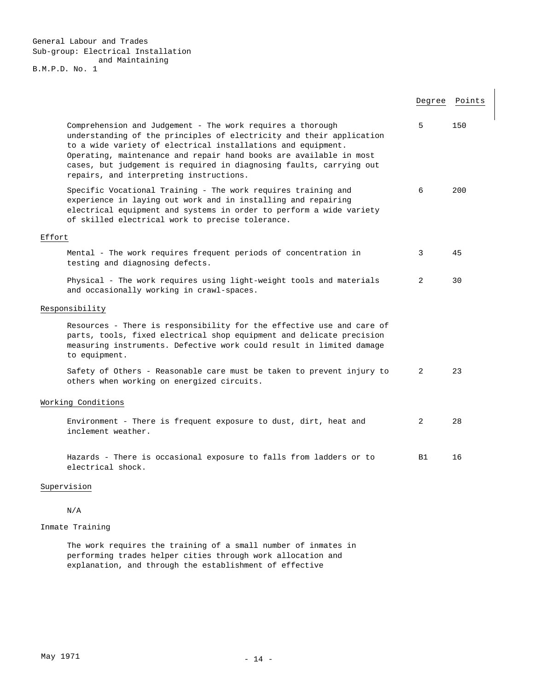General Labour and Trades Sub-group: Electrical Installation and Maintaining B.M.P.D. No. 1

|        |                                                                                                                                                                                                                                                                                                                                                                                            |                | Degree Points |
|--------|--------------------------------------------------------------------------------------------------------------------------------------------------------------------------------------------------------------------------------------------------------------------------------------------------------------------------------------------------------------------------------------------|----------------|---------------|
|        | Comprehension and Judgement - The work requires a thorough<br>understanding of the principles of electricity and their application<br>to a wide variety of electrical installations and equipment.<br>Operating, maintenance and repair hand books are available in most<br>cases, but judgement is required in diagnosing faults, carrying out<br>repairs, and interpreting instructions. | 5              | 150           |
|        | Specific Vocational Training - The work requires training and<br>experience in laying out work and in installing and repairing<br>electrical equipment and systems in order to perform a wide variety<br>of skilled electrical work to precise tolerance.                                                                                                                                  | 6              | 200           |
| Effort |                                                                                                                                                                                                                                                                                                                                                                                            |                |               |
|        | Mental - The work requires frequent periods of concentration in<br>testing and diagnosing defects.                                                                                                                                                                                                                                                                                         | 3              | 45            |
|        | Physical - The work requires using light-weight tools and materials<br>and occasionally working in crawl-spaces.                                                                                                                                                                                                                                                                           | 2              | 30            |
|        | Responsibility                                                                                                                                                                                                                                                                                                                                                                             |                |               |
|        | Resources - There is responsibility for the effective use and care of<br>parts, tools, fixed electrical shop equipment and delicate precision<br>measuring instruments. Defective work could result in limited damage<br>to equipment.                                                                                                                                                     |                |               |
|        | Safety of Others - Reasonable care must be taken to prevent injury to<br>others when working on energized circuits.                                                                                                                                                                                                                                                                        | 2              | 23            |
|        | Working Conditions                                                                                                                                                                                                                                                                                                                                                                         |                |               |
|        | Environment - There is frequent exposure to dust, dirt, heat and<br>inclement weather.                                                                                                                                                                                                                                                                                                     | $\overline{2}$ | 28            |
|        | Hazards - There is occasional exposure to falls from ladders or to<br>electrical shock.                                                                                                                                                                                                                                                                                                    | <b>B1</b>      | 16            |

### Supervision

N/A

### Inmate Training

The work requires the training of a small number of inmates in performing trades helper cities through work allocation and explanation, and through the establishment of effective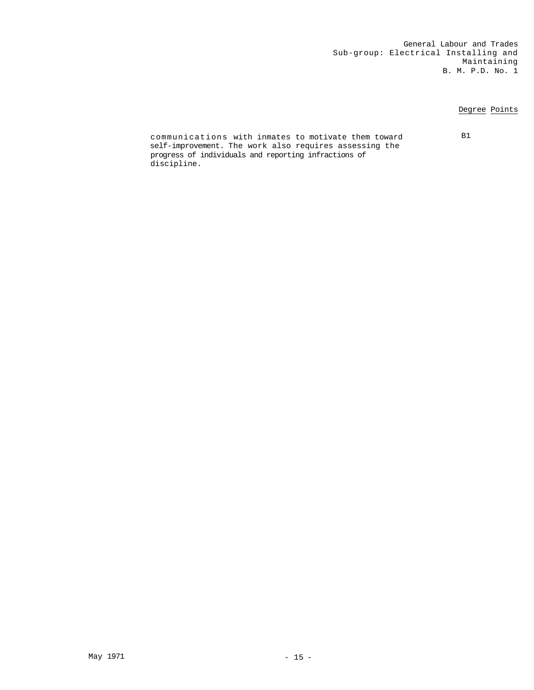General Labour and Trades Sub-group: Electrical Installing and Maintaining B. M. P.D. No. 1

### Degree Points

communications with inmates to motivate them toward B1 self-improvement. The work also requires assessing the progress of individuals and reporting infractions of discipline.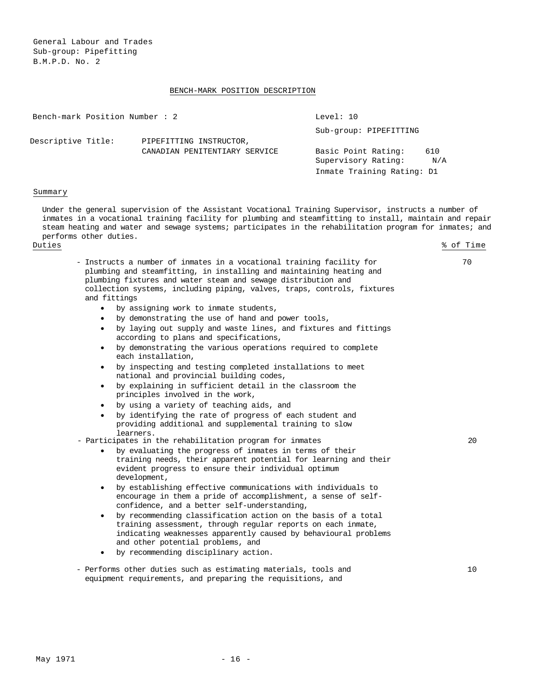General Labour and Trades Sub-group: Pipefitting B.M.P.D. No. 2

### BENCH-MARK POSITION DESCRIPTION

|                    | Bench-mark Position Number : 2 |                               | Level: 10                  |     |
|--------------------|--------------------------------|-------------------------------|----------------------------|-----|
|                    |                                |                               | Sub-group: PIPEFITTING     |     |
| Descriptive Title: |                                | PIPEFITTING INSTRUCTOR,       |                            |     |
|                    |                                | CANADIAN PENITENTIARY SERVICE | Basic Point Rating:        | 610 |
|                    |                                |                               | Supervisory Rating:        | N/A |
|                    |                                |                               | Inmate Training Rating: D1 |     |

### Summary

Under the general supervision of the Assistant Vocational Training Supervisor, instructs a number of inmates in a vocational training facility for plumbing and steamfitting to install, maintain and repair steam heating and water and sewage systems; participates in the rehabilitation program for inmates; and performs other duties.

Duties % of Time

- Instructs a number of inmates in a vocational training facility for plumbing and steamfitting, in installing and maintaining heating and plumbing fixtures and water steam and sewage distribution and collection systems, including piping, valves, traps, controls, fixtures and fittings 70

 $20$ 

10

- by assigning work to inmate students,
- by demonstrating the use of hand and power tools,
- by laying out supply and waste lines, and fixtures and fittings according to plans and specifications,
- by demonstrating the various operations required to complete each installation,
- by inspecting and testing completed installations to meet national and provincial building codes,
- by explaining in sufficient detail in the classroom the principles involved in the work,
- by using a variety of teaching aids, and
- by identifying the rate of progress of each student and providing additional and supplemental training to slow learners.
- Participates in the rehabilitation program for inmates
	- by evaluating the progress of inmates in terms of their training needs, their apparent potential for learning and their evident progress to ensure their individual optimum development,
	- by establishing effective communications with individuals to encourage in them a pride of accomplishment, a sense of selfconfidence, and a better self-understanding,
	- by recommending classification action on the basis of a total training assessment, through regular reports on each inmate, indicating weaknesses apparently caused by behavioural problems and other potential problems, and
	- by recommending disciplinary action.
- Performs other duties such as estimating materials, tools and equipment requirements, and preparing the requisitions, and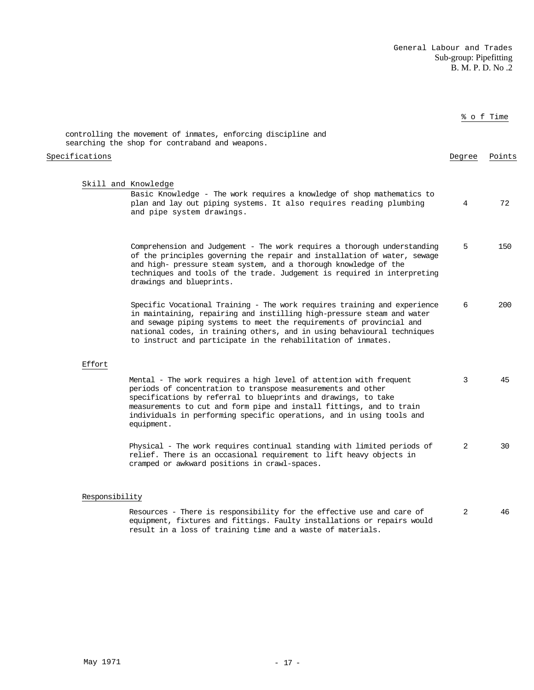General Labour and Trades Sub-group: Pipefitting B. M. P. D. No .2

|                                                                                                                                                                                                                                                                                                                                                                        |        | % of Time |
|------------------------------------------------------------------------------------------------------------------------------------------------------------------------------------------------------------------------------------------------------------------------------------------------------------------------------------------------------------------------|--------|-----------|
| controlling the movement of inmates, enforcing discipline and<br>searching the shop for contraband and weapons.                                                                                                                                                                                                                                                        |        |           |
| Specifications                                                                                                                                                                                                                                                                                                                                                         | Degree | Points    |
| Skill and Knowledge<br>Basic Knowledge - The work requires a knowledge of shop mathematics to<br>plan and lay out piping systems. It also requires reading plumbing<br>and pipe system drawings.                                                                                                                                                                       | 4      | 72        |
| Comprehension and Judgement - The work requires a thorough understanding<br>of the principles governing the repair and installation of water, sewage<br>and high- pressure steam system, and a thorough knowledge of the<br>techniques and tools of the trade. Judgement is required in interpreting<br>drawings and blueprints.                                       | 5      | 150       |
| Specific Vocational Training - The work requires training and experience<br>in maintaining, repairing and instilling high-pressure steam and water<br>and sewage piping systems to meet the requirements of provincial and<br>national codes, in training others, and in using behavioural techniques<br>to instruct and participate in the rehabilitation of inmates. | 6      | 200       |
| Effort                                                                                                                                                                                                                                                                                                                                                                 |        |           |
| Mental - The work requires a high level of attention with frequent<br>periods of concentration to transpose measurements and other<br>specifications by referral to blueprints and drawings, to take<br>measurements to cut and form pipe and install fittings, and to train<br>individuals in performing specific operations, and in using tools and<br>equipment.    | 3      | 45        |
| Physical - The work requires continual standing with limited periods of<br>relief. There is an occasional requirement to lift heavy objects in<br>cramped or awkward positions in crawl-spaces.                                                                                                                                                                        | 2      | 30        |

### Responsibility

Resources - There is responsibility for the effective use and care of equipment, fixtures and fittings. Faulty installations or repairs would result in a loss of training time and a waste of materials. 2 46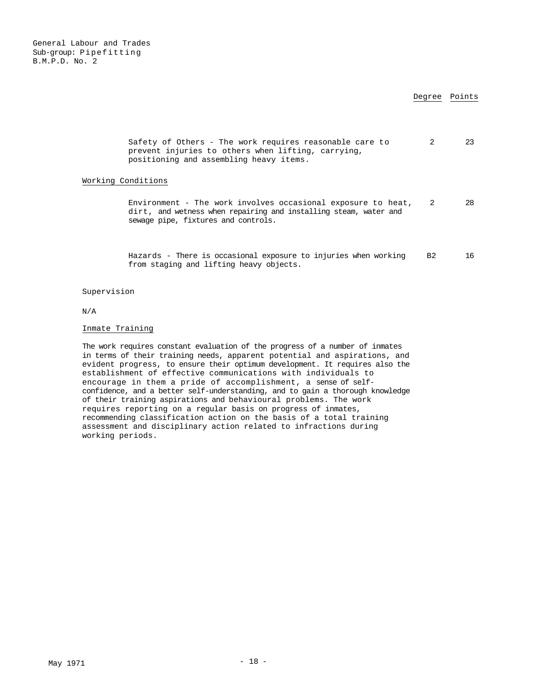General Labour and Trades Sub-group: Pipefitting B.M.P.D. No. 2

### Degree Points

|                    | Safety of Others - The work requires reasonable care to<br>prevent injuries to others when lifting, carrying,<br>positioning and assembling heavy items.                | 2         | 23 |
|--------------------|-------------------------------------------------------------------------------------------------------------------------------------------------------------------------|-----------|----|
| Working Conditions | Environment - The work involves occasional exposure to heat,<br>dirt, and wetness when repairing and installing steam, water and<br>sewage pipe, fixtures and controls. | -2        | 28 |
|                    | Hazards - There is occasional exposure to injuries when working<br>from staging and lifting heavy objects.                                                              | <b>B2</b> | 16 |

Supervision

N/A

### Inmate Training

The work requires constant evaluation of the progress of a number of inmates in terms of their training needs, apparent potential and aspirations, and evident progress, to ensure their optimum development. It requires also the establishment of effective communications with individuals to encourage in them a pride of accomplishment, a sense of selfconfidence, and a better self-understanding, and to gain a thorough knowledge of their training aspirations and behavioural problems. The work requires reporting on a regular basis on progress of inmates, recommending classification action on the basis of a total training assessment and disciplinary action related to infractions during working periods.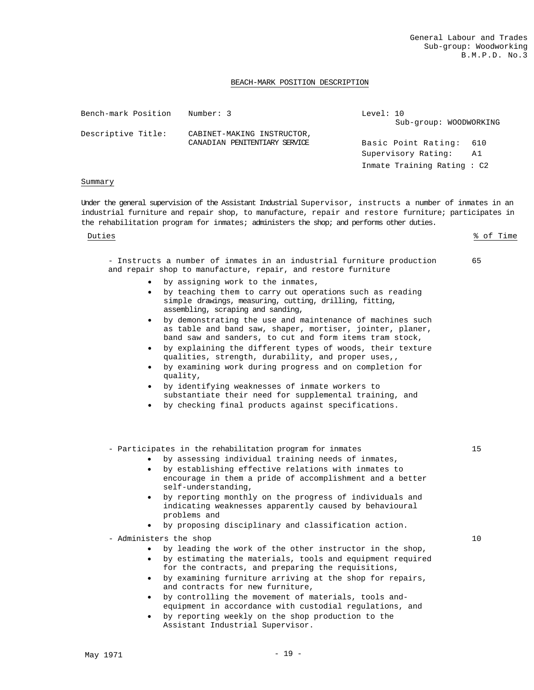### BEACH-MARK POSITION DESCRIPTION

| Bench-mark Position | Number: 3                     | Level: 10                  |
|---------------------|-------------------------------|----------------------------|
|                     |                               | Sub-group: WOODWORKING     |
| Descriptive Title:  | CABINET-MAKING INSTRUCTOR,    |                            |
|                     | CANADIAN PENITENTIARY SERVICE | Basic Point Rating:<br>610 |
|                     |                               | Supervisory Rating:<br>A1  |
|                     |                               | Inmate Training Rating: C2 |

### Summary

Under the general supervision of the Assistant Industrial Supervisor, instructs a number of inmates in an industrial furniture and repair shop, to manufacture, repair and restore furniture; participates in the rehabilitation program for inmates; administers the shop; and performs other duties.

Duties % of Time

65

- Instructs a number of inmates in an industrial furniture production and repair shop to manufacture, repair, and restore furniture

- by assigning work to the inmates,
- by teaching them to carry out operations such as reading simple drawings, measuring, cutting, drilling, fitting, assembling, scraping and sanding,
- by demonstrating the use and maintenance of machines such as table and band saw, shaper, mortiser, jointer, planer, band saw and sanders, to cut and form items tram stock,
- by explaining the different types of woods, their texture qualities, strength, durability, and proper uses,,
- by examining work during progress and on completion for quality,
- by identifying weaknesses of inmate workers to substantiate their need for supplemental training, and
- by checking final products against specifications.

- Participates in the rehabilitation program for inmates

- by assessing individual training needs of inmates,
	- by establishing effective relations with inmates to encourage in them a pride of accomplishment and a better self-understanding,
	- by reporting monthly on the progress of individuals and indicating weaknesses apparently caused by behavioural problems and
	- by proposing disciplinary and classification action.
- Administers the shop
	- by leading the work of the other instructor in the shop,
	- by estimating the materials, tools and equipment required for the contracts, and preparing the requisitions,
	- by examining furniture arriving at the shop for repairs, and contracts for new furniture,
	- by controlling the movement of materials, tools andequipment in accordance with custodial regulations, and
	- by reporting weekly on the shop production to the Assistant Industrial Supervisor.

10

15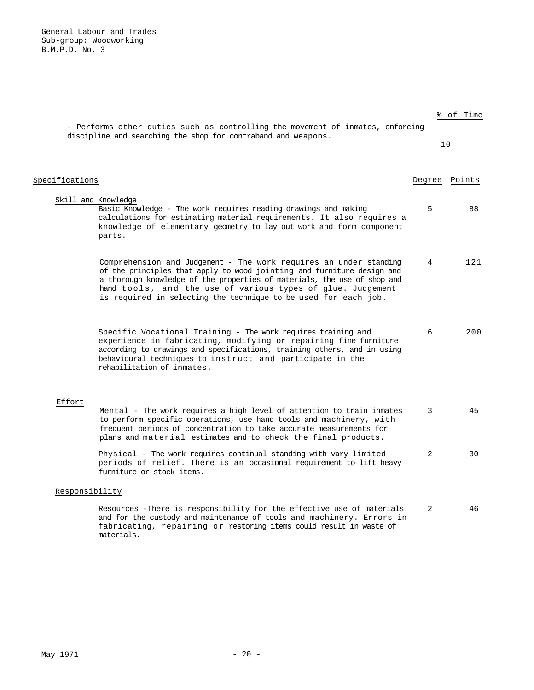General Labour and Trades Sub-group: Woodworking B.M.P.D. No. 3

|                | - Performs other duties such as controlling the movement of inmates, enforcing                                                                                                                                                                                                                                                                            |        | % of Time |
|----------------|-----------------------------------------------------------------------------------------------------------------------------------------------------------------------------------------------------------------------------------------------------------------------------------------------------------------------------------------------------------|--------|-----------|
|                | discipline and searching the shop for contraband and weapons.                                                                                                                                                                                                                                                                                             |        | 10        |
| Specifications |                                                                                                                                                                                                                                                                                                                                                           | Degree | Points    |
|                | Skill and Knowledge<br>Basic Knowledge - The work requires reading drawings and making<br>calculations for estimating material requirements. It also requires a<br>knowledge of elementary geometry to lay out work and form component<br>parts.                                                                                                          | 5      | 88        |
|                | Comprehension and Judgement - The work requires an under standing<br>of the principles that apply to wood jointing and furniture design and<br>a thorough knowledge of the properties of materials, the use of shop and<br>hand tools, and the use of various types of glue. Judgement<br>is required in selecting the technique to be used for each job. | 4      | 121       |
|                | Specific Vocational Training - The work requires training and<br>experience in fabricating, modifying or repairing fine furniture<br>according to drawings and specifications, training others, and in using<br>behavioural techniques to instruct and participate in the<br>rehabilitation of inmates.                                                   | 6      | 200       |
| Effort         |                                                                                                                                                                                                                                                                                                                                                           |        |           |
|                | Mental - The work requires a high level of attention to train inmates<br>to perform specific operations, use hand tools and machinery, with<br>frequent periods of concentration to take accurate measurements for<br>plans and material estimates and to check the final products.                                                                       | 3      | 45        |
|                | Physical - The work requires continual standing with vary limited<br>periods of relief. There is an occasional requirement to lift heavy<br>furniture or stock items.                                                                                                                                                                                     | 2      | 30        |
| Responsibility |                                                                                                                                                                                                                                                                                                                                                           |        |           |
|                | Resources -There is responsibility for the effective use of materials<br>and for the custody and maintenance of tools and machinery. Errors in<br>fabricating, repairing or restoring items could result in waste of<br>materials.                                                                                                                        | 2      | 46        |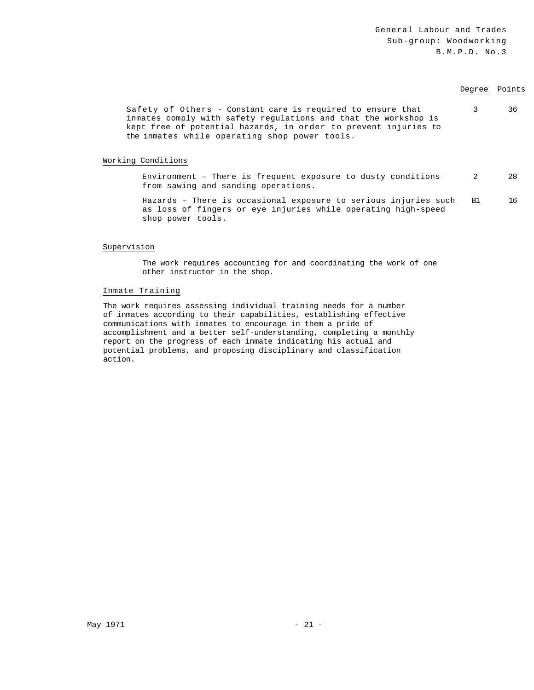# Degree Points

Safety of Others - Constant care is required to ensure that inmates comply with safety regulations and that the workshop is kept free of potential hazards, in order to prevent injuries to the inmates while operating shop power tools. 3 36

### Working Conditions

Environment – There is frequent exposure to dusty conditions from sawing and sanding operations. 2 28

Hazards – There is occasional exposure to serious injuries such as loss of fingers or eye injuries while operating high-speed shop power tools. B1 16

### Supervision

The work requires accounting for and coordinating the work of one other instructor in the shop.

### Inmate Training

The work requires assessing individual training needs for a number of inmates according to their capabilities, establishing effective communications with inmates to encourage in them a pride of accomplishment and a better self-understanding, completing a monthly report on the progress of each inmate indicating his actual and potential problems, and proposing disciplinary and classification action.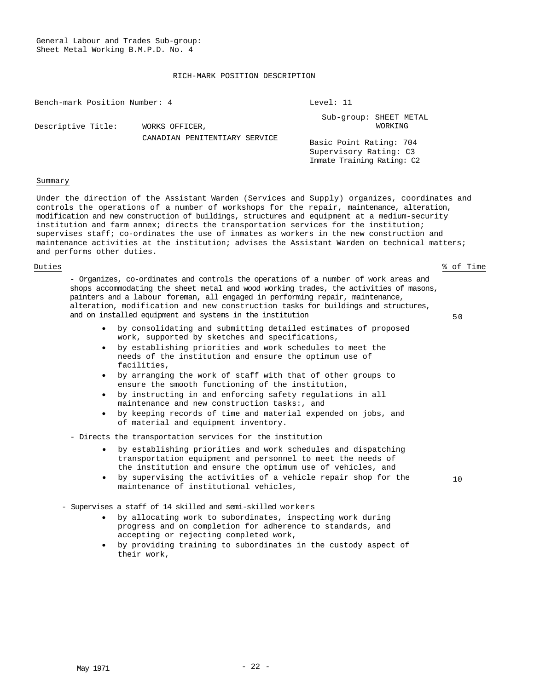### RICH-MARK POSITION DESCRIPTION

| Bench-mark Position Number: 4 |                               | Level: 11               |                                          |
|-------------------------------|-------------------------------|-------------------------|------------------------------------------|
| Descriptive Title:            | WORKS OFFICER,                |                         | Sub-group: SHEET METAL<br><b>WORKTNG</b> |
|                               | CANADIAN PENITENTIARY SERVICE | Pacia Doint Pating: 704 |                                          |

Basic Point Rating: 704 Supervisory Rating: C3 Inmate Training Rating: C2

### Summary

Under the direction of the Assistant Warden (Services and Supply) organizes, coordinates and controls the operations of a number of workshops for the repair, maintenance, alteration, modification and new construction of buildings, structures and equipment at a medium-security institution and farm annex; directs the transportation services for the institution; supervises staff; co-ordinates the use of inmates as workers in the new construction and maintenance activities at the institution; advises the Assistant Warden on technical matters; and performs other duties.

Duties % of Time

10

- Organizes, co-ordinates and controls the operations of a number of work areas and shops accommodating the sheet metal and wood working trades, the activities of masons, painters and a labour foreman, all engaged in performing repair, maintenance, alteration, modification and new construction tasks for buildings and structures, and on installed equipment and systems in the institution  $50$ 

- by consolidating and submitting detailed estimates of proposed work, supported by sketches and specifications,
- by establishing priorities and work schedules to meet the needs of the institution and ensure the optimum use of facilities,
- by arranging the work of staff with that of other groups to ensure the smooth functioning of the institution,
- by instructing in and enforcing safety regulations in all maintenance and new construction tasks:, and
- by keeping records of time and material expended on jobs, and of material and equipment inventory.
- Directs the transportation services for the institution
	- by establishing priorities and work schedules and dispatching transportation equipment and personnel to meet the needs of the institution and ensure the optimum use of vehicles, and
	- by supervising the activities of a vehicle repair shop for the maintenance of institutional vehicles,
- Supervises a staff of 14 skilled and semi-skilled workers
	- by allocating work to subordinates, inspecting work during progress and on completion for adherence to standards, and accepting or rejecting completed work,
	- by providing training to subordinates in the custody aspect of their work,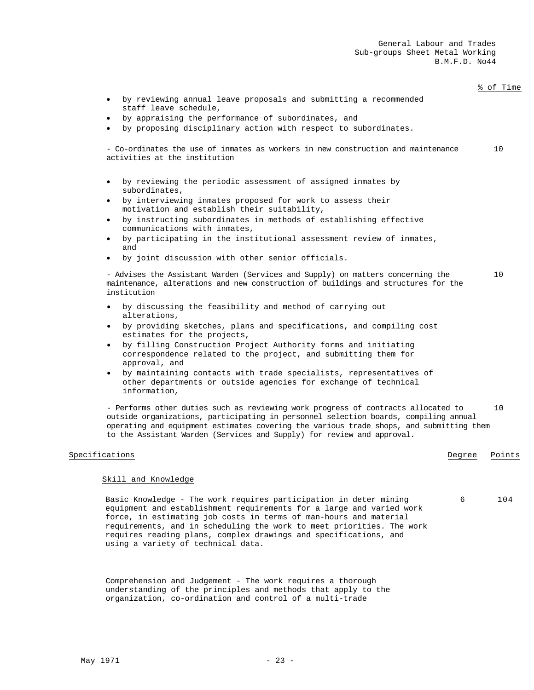|                                                                                                                                                                                                                                                                                                                                                                                                   |        | % of Time |
|---------------------------------------------------------------------------------------------------------------------------------------------------------------------------------------------------------------------------------------------------------------------------------------------------------------------------------------------------------------------------------------------------|--------|-----------|
| by reviewing annual leave proposals and submitting a recommended<br>$\bullet$<br>staff leave schedule,                                                                                                                                                                                                                                                                                            |        |           |
| by appraising the performance of subordinates, and<br>$\bullet$                                                                                                                                                                                                                                                                                                                                   |        |           |
| by proposing disciplinary action with respect to subordinates.<br>$\bullet$                                                                                                                                                                                                                                                                                                                       |        |           |
| - Co-ordinates the use of inmates as workers in new construction and maintenance<br>activities at the institution                                                                                                                                                                                                                                                                                 |        | 10        |
| • by reviewing the periodic assessment of assigned inmates by<br>subordinates,                                                                                                                                                                                                                                                                                                                    |        |           |
| by interviewing inmates proposed for work to assess their<br>$\bullet$<br>motivation and establish their suitability,                                                                                                                                                                                                                                                                             |        |           |
| by instructing subordinates in methods of establishing effective<br>$\bullet$<br>communications with inmates,                                                                                                                                                                                                                                                                                     |        |           |
| by participating in the institutional assessment review of inmates,<br>$\bullet$<br>and                                                                                                                                                                                                                                                                                                           |        |           |
| by joint discussion with other senior officials.<br>٠                                                                                                                                                                                                                                                                                                                                             |        |           |
| - Advises the Assistant Warden (Services and Supply) on matters concerning the<br>maintenance, alterations and new construction of buildings and structures for the<br>institution                                                                                                                                                                                                                |        | 10        |
| • by discussing the feasibility and method of carrying out<br>alterations,                                                                                                                                                                                                                                                                                                                        |        |           |
| • by providing sketches, plans and specifications, and compiling cost<br>estimates for the projects,                                                                                                                                                                                                                                                                                              |        |           |
| by filling Construction Project Authority forms and initiating<br>$\bullet$<br>correspondence related to the project, and submitting them for<br>approval, and                                                                                                                                                                                                                                    |        |           |
| by maintaining contacts with trade specialists, representatives of<br>$\bullet$<br>other departments or outside agencies for exchange of technical<br>information,                                                                                                                                                                                                                                |        |           |
| - Performs other duties such as reviewing work progress of contracts allocated to<br>outside organizations, participating in personnel selection boards, compiling annual<br>operating and equipment estimates covering the various trade shops, and submitting them<br>to the Assistant Warden (Services and Supply) for review and approval.                                                    |        | 10        |
| Specifications                                                                                                                                                                                                                                                                                                                                                                                    | Degree | Points    |
| Skill and Knowledge                                                                                                                                                                                                                                                                                                                                                                               |        |           |
|                                                                                                                                                                                                                                                                                                                                                                                                   |        |           |
| Basic Knowledge - The work requires participation in deter mining<br>equipment and establishment requirements for a large and varied work<br>force, in estimating job costs in terms of man-hours and material<br>requirements, and in scheduling the work to meet priorities. The work<br>requires reading plans, complex drawings and specifications, and<br>using a variety of technical data. | 6      | 104       |
|                                                                                                                                                                                                                                                                                                                                                                                                   |        |           |
|                                                                                                                                                                                                                                                                                                                                                                                                   |        |           |

Comprehension and Judgement - The work requires a thorough understanding of the principles and methods that apply to the organization, co-ordination and control of a multi-trade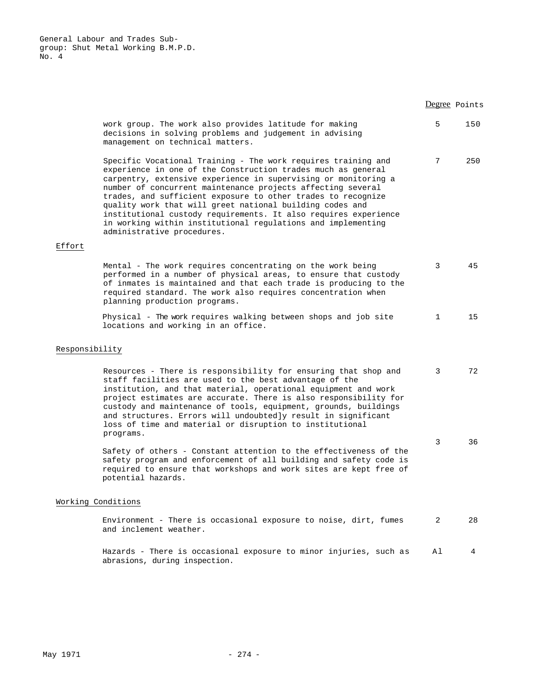|                    |                                                                                                                                                                                                                                                                                                                                                                                                                                                                                                                                                             |              | Degree Points |
|--------------------|-------------------------------------------------------------------------------------------------------------------------------------------------------------------------------------------------------------------------------------------------------------------------------------------------------------------------------------------------------------------------------------------------------------------------------------------------------------------------------------------------------------------------------------------------------------|--------------|---------------|
|                    | work group. The work also provides latitude for making<br>decisions in solving problems and judgement in advising<br>management on technical matters.                                                                                                                                                                                                                                                                                                                                                                                                       | 5            | 150           |
| Effort             | Specific Vocational Training - The work requires training and<br>experience in one of the Construction trades much as general<br>carpentry, extensive experience in supervising or monitoring a<br>number of concurrent maintenance projects affecting several<br>trades, and sufficient exposure to other trades to recognize<br>quality work that will greet national building codes and<br>institutional custody requirements. It also requires experience<br>in working within institutional regulations and implementing<br>administrative procedures. | 7            | 250           |
|                    |                                                                                                                                                                                                                                                                                                                                                                                                                                                                                                                                                             |              |               |
|                    | Mental - The work requires concentrating on the work being<br>performed in a number of physical areas, to ensure that custody<br>of inmates is maintained and that each trade is producing to the<br>required standard. The work also requires concentration when<br>planning production programs.                                                                                                                                                                                                                                                          | 3            | 45            |
|                    | Physical - The work requires walking between shops and job site<br>locations and working in an office.                                                                                                                                                                                                                                                                                                                                                                                                                                                      | $\mathbf{1}$ | 15            |
| Responsibility     |                                                                                                                                                                                                                                                                                                                                                                                                                                                                                                                                                             |              |               |
|                    | Resources - There is responsibility for ensuring that shop and<br>staff facilities are used to the best advantage of the<br>institution, and that material, operational equipment and work<br>project estimates are accurate. There is also responsibility for<br>custody and maintenance of tools, equipment, grounds, buildings<br>and structures. Errors will undoubtedly result in significant<br>loss of time and material or disruption to institutional<br>programs.                                                                                 | 3            | 72            |
|                    | Safety of others - Constant attention to the effectiveness of the<br>safety program and enforcement of all building and safety code is<br>required to ensure that workshops and work sites are kept free of<br>potential hazards.                                                                                                                                                                                                                                                                                                                           | 3            | 36            |
| Working Conditions |                                                                                                                                                                                                                                                                                                                                                                                                                                                                                                                                                             |              |               |
|                    | Environment - There is occasional exposure to noise, dirt, fumes<br>and inclement weather.                                                                                                                                                                                                                                                                                                                                                                                                                                                                  | 2            | 28            |
|                    | Hazards - There is occasional exposure to minor injuries, such as<br>abrasions, during inspection.                                                                                                                                                                                                                                                                                                                                                                                                                                                          | Αl           | 4             |